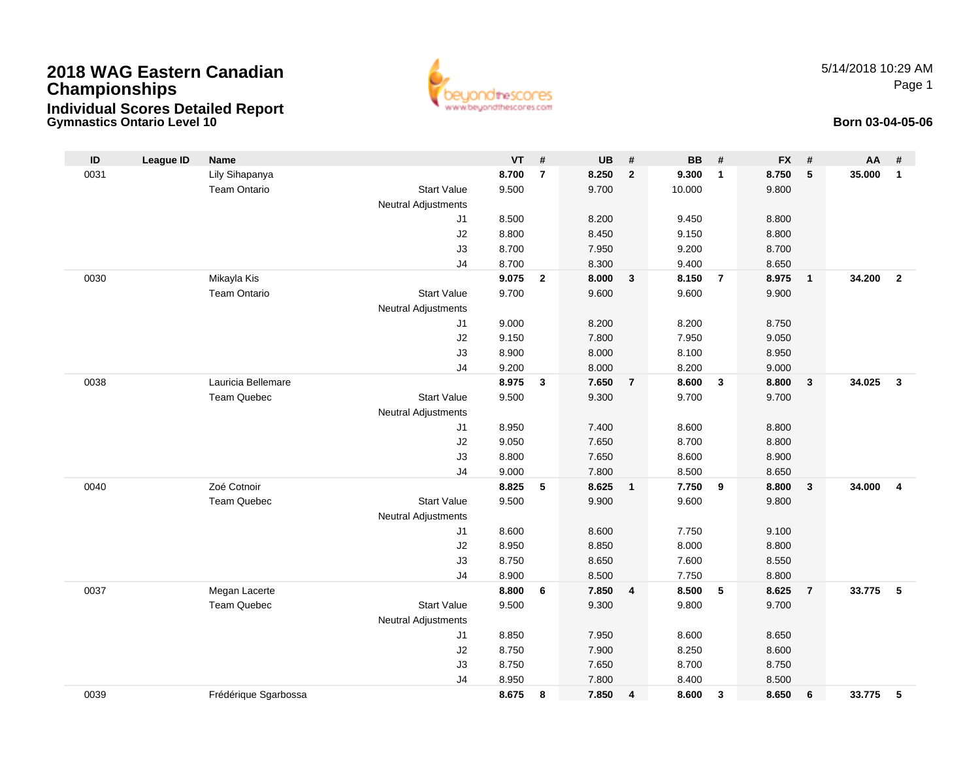## **2018 WAG Eastern CanadianChampionships Individual Scores Detailed Report**



5/14/2018 10:29 AMPage 1

## **Gymnastics Ontario Level 10 Born 03-04-05-06**

| ID   | <b>League ID</b> | <b>Name</b>          |                      | <b>VT</b>      | $\#$           | <b>UB</b>      | #              | <b>BB</b>      | #               | <b>FX</b>      | #              | AA     | #              |
|------|------------------|----------------------|----------------------|----------------|----------------|----------------|----------------|----------------|-----------------|----------------|----------------|--------|----------------|
| 0031 |                  | Lily Sihapanya       |                      | 8.700          | $\overline{7}$ | 8.250          | $\mathbf{2}$   | 9.300          | $\mathbf{1}$    | 8.750          | 5              | 35.000 | $\mathbf{1}$   |
|      |                  | Team Ontario         | <b>Start Value</b>   | 9.500          |                | 9.700          |                | 10.000         |                 | 9.800          |                |        |                |
|      |                  |                      | Neutral Adjustments  |                |                |                |                |                |                 |                |                |        |                |
|      |                  |                      | J <sub>1</sub>       | 8.500          |                | 8.200          |                | 9.450          |                 | 8.800          |                |        |                |
|      |                  |                      | J2                   | 8.800          |                | 8.450          |                | 9.150          |                 | 8.800          |                |        |                |
|      |                  |                      | J3                   | 8.700          |                | 7.950          |                | 9.200          |                 | 8.700          |                |        |                |
|      |                  |                      | J <sub>4</sub>       | 8.700          |                | 8.300          |                | 9.400          |                 | 8.650          |                |        |                |
| 0030 |                  | Mikayla Kis          |                      | 9.075          | $\overline{2}$ | 8.000          | $\mathbf{3}$   | 8.150          | $\overline{7}$  | 8.975          | $\overline{1}$ | 34.200 | $\overline{2}$ |
|      |                  | <b>Team Ontario</b>  | <b>Start Value</b>   | 9.700          |                | 9.600          |                | 9.600          |                 | 9.900          |                |        |                |
|      |                  |                      | Neutral Adjustments  |                |                |                |                |                |                 |                |                |        |                |
|      |                  |                      | J <sub>1</sub>       | 9.000          |                | 8.200          |                | 8.200          |                 | 8.750          |                |        |                |
|      |                  |                      | J2                   | 9.150          |                | 7.800          |                | 7.950          |                 | 9.050          |                |        |                |
|      |                  |                      | J3                   | 8.900          |                | 8.000          |                | 8.100          |                 | 8.950          |                |        |                |
|      |                  |                      | J <sub>4</sub>       | 9.200          |                | 8.000          |                | 8.200          |                 | 9.000          |                |        |                |
| 0038 |                  | Lauricia Bellemare   |                      | 8.975          | 3              | 7.650          | $\overline{7}$ | 8.600          | $\mathbf{3}$    | 8.800          | $\mathbf{3}$   | 34.025 | $\mathbf{3}$   |
|      |                  | <b>Team Quebec</b>   | <b>Start Value</b>   | 9.500          |                | 9.300          |                | 9.700          |                 | 9.700          |                |        |                |
|      |                  |                      | Neutral Adjustments  |                |                |                |                |                |                 |                |                |        |                |
|      |                  |                      | J1                   | 8.950          |                | 7.400          |                | 8.600          |                 | 8.800          |                |        |                |
|      |                  |                      | J2                   | 9.050          |                | 7.650<br>7.650 |                | 8.700<br>8.600 |                 | 8.800          |                |        |                |
|      |                  |                      | J3<br>J <sub>4</sub> | 8.800<br>9.000 |                | 7.800          |                | 8.500          |                 | 8.900<br>8.650 |                |        |                |
| 0040 |                  | Zoé Cotnoir          |                      | 8.825          | 5              | 8.625          | $\mathbf{1}$   | 7.750          | 9               | 8.800          | $\mathbf{3}$   | 34.000 | $\overline{4}$ |
|      |                  | <b>Team Quebec</b>   | <b>Start Value</b>   | 9.500          |                | 9.900          |                | 9.600          |                 | 9.800          |                |        |                |
|      |                  |                      | Neutral Adjustments  |                |                |                |                |                |                 |                |                |        |                |
|      |                  |                      | J <sub>1</sub>       | 8.600          |                | 8.600          |                | 7.750          |                 | 9.100          |                |        |                |
|      |                  |                      | J2                   | 8.950          |                | 8.850          |                | 8.000          |                 | 8.800          |                |        |                |
|      |                  |                      | J3                   | 8.750          |                | 8.650          |                | 7.600          |                 | 8.550          |                |        |                |
|      |                  |                      | J <sub>4</sub>       | 8.900          |                | 8.500          |                | 7.750          |                 | 8.800          |                |        |                |
| 0037 |                  | Megan Lacerte        |                      | 8.800          | 6              | 7.850          | 4              | 8.500          | $5\phantom{.0}$ | 8.625          | $\overline{7}$ | 33.775 | -5             |
|      |                  | <b>Team Quebec</b>   | <b>Start Value</b>   | 9.500          |                | 9.300          |                | 9.800          |                 | 9.700          |                |        |                |
|      |                  |                      | Neutral Adjustments  |                |                |                |                |                |                 |                |                |        |                |
|      |                  |                      | J1                   | 8.850          |                | 7.950          |                | 8.600          |                 | 8.650          |                |        |                |
|      |                  |                      | J2                   | 8.750          |                | 7.900          |                | 8.250          |                 | 8.600          |                |        |                |
|      |                  |                      | J3                   | 8.750          |                | 7.650          |                | 8.700          |                 | 8.750          |                |        |                |
|      |                  |                      | J <sub>4</sub>       | 8.950          |                | 7.800          |                | 8.400          |                 | 8.500          |                |        |                |
| 0039 |                  | Frédérique Sgarbossa |                      | 8.675          | 8              | 7.850          | 4              | 8.600          | $\mathbf{3}$    | 8.650          | 6              | 33.775 | 5              |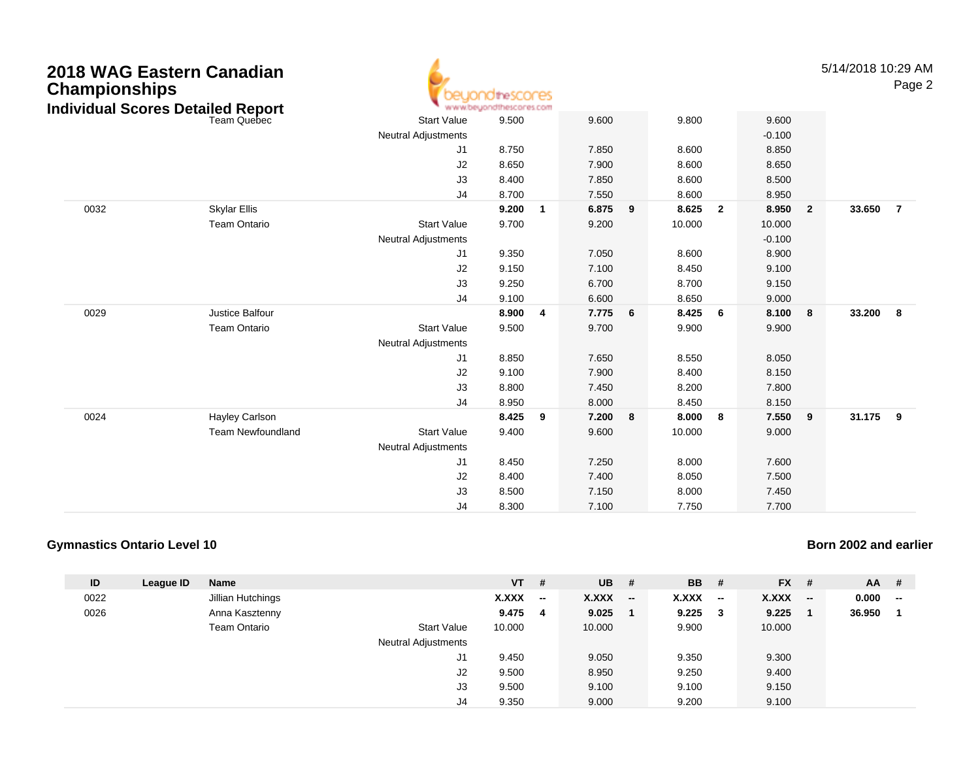| 2018 WAG Eastern Canadian<br><b>Championships</b><br><b>Individual Scores Detailed Report</b><br>Team Quebec |                          | <b>idirescores</b><br>www.beyondthescores.com |       |                |                |   |        |                         |                |                | 5/14/2018 10:29 AM | Page 2         |
|--------------------------------------------------------------------------------------------------------------|--------------------------|-----------------------------------------------|-------|----------------|----------------|---|--------|-------------------------|----------------|----------------|--------------------|----------------|
|                                                                                                              |                          | <b>Start Value</b>                            | 9.500 |                | 9.600          |   | 9.800  |                         | 9.600          |                |                    |                |
|                                                                                                              |                          | <b>Neutral Adjustments</b>                    |       |                |                |   |        |                         | $-0.100$       |                |                    |                |
|                                                                                                              |                          | J1                                            | 8.750 |                | 7.850          |   | 8.600  |                         | 8.850          |                |                    |                |
|                                                                                                              |                          | J2                                            | 8.650 |                | 7.900          |   | 8.600  |                         | 8.650          |                |                    |                |
|                                                                                                              |                          | J3                                            | 8.400 |                | 7.850          |   | 8.600  |                         | 8.500          |                |                    |                |
|                                                                                                              |                          | J <sub>4</sub>                                | 8.700 |                | 7.550          |   | 8.600  |                         | 8.950          |                |                    |                |
| 0032                                                                                                         | <b>Skylar Ellis</b>      |                                               | 9.200 | $\overline{1}$ | 6.875          | 9 | 8.625  | $\overline{\mathbf{2}}$ | 8.950          | $\overline{2}$ | 33.650             | $\overline{7}$ |
|                                                                                                              | Team Ontario             | <b>Start Value</b>                            | 9.700 |                | 9.200          |   | 10.000 |                         | 10.000         |                |                    |                |
|                                                                                                              |                          | <b>Neutral Adjustments</b>                    |       |                |                |   |        |                         | $-0.100$       |                |                    |                |
|                                                                                                              |                          | J1                                            | 9.350 |                | 7.050          |   | 8.600  |                         | 8.900          |                |                    |                |
|                                                                                                              |                          | J2                                            | 9.150 |                | 7.100          |   | 8.450  |                         | 9.100          |                |                    |                |
|                                                                                                              |                          | J3                                            | 9.250 |                | 6.700          |   | 8.700  |                         | 9.150          |                |                    |                |
|                                                                                                              | Justice Balfour          | J4                                            | 9.100 |                | 6.600          |   | 8.650  |                         | 9.000          |                |                    |                |
| 0029                                                                                                         |                          |                                               | 8.900 | $\overline{4}$ | 7.775          | 6 | 8.425  | - 6                     | 8.100          | 8              | 33.200             | - 8            |
|                                                                                                              | <b>Team Ontario</b>      | <b>Start Value</b>                            | 9.500 |                | 9.700          |   | 9.900  |                         | 9.900          |                |                    |                |
|                                                                                                              |                          | <b>Neutral Adjustments</b>                    | 8.850 |                |                |   | 8.550  |                         |                |                |                    |                |
|                                                                                                              |                          | J1<br>J2                                      | 9.100 |                | 7.650<br>7.900 |   | 8.400  |                         | 8.050<br>8.150 |                |                    |                |
|                                                                                                              |                          | J3                                            | 8.800 |                | 7.450          |   | 8.200  |                         | 7.800          |                |                    |                |
|                                                                                                              |                          | J <sub>4</sub>                                | 8.950 |                | 8.000          |   | 8.450  |                         | 8.150          |                |                    |                |
| 0024                                                                                                         | Hayley Carlson           |                                               | 8.425 | - 9            | 7.200          | 8 | 8.000  | - 8                     | 7.550          | 9              | 31.175             | - 9            |
|                                                                                                              | <b>Team Newfoundland</b> | <b>Start Value</b>                            | 9.400 |                | 9.600          |   | 10.000 |                         | 9.000          |                |                    |                |
|                                                                                                              |                          | <b>Neutral Adjustments</b>                    |       |                |                |   |        |                         |                |                |                    |                |
|                                                                                                              |                          | J1                                            | 8.450 |                | 7.250          |   | 8.000  |                         | 7.600          |                |                    |                |
|                                                                                                              |                          | J2                                            | 8.400 |                | 7.400          |   | 8.050  |                         | 7.500          |                |                    |                |
|                                                                                                              |                          | J3                                            | 8.500 |                | 7.150          |   | 8.000  |                         | 7.450          |                |                    |                |
|                                                                                                              |                          | J4                                            | 8.300 |                | 7.100          |   | 7.750  |                         | 7.700          |                |                    |                |
|                                                                                                              |                          |                                               |       |                |                |   |        |                         |                |                |                    |                |

## **Gymnastics Ontario Level 10**

**Born 2002 and earlier**

| ID   | League ID | <b>Name</b>       |                            | $VT$ # |    | $UB$ # |                          | <b>BB</b> | - #          | <b>FX</b> | - #    | AA     | #                        |
|------|-----------|-------------------|----------------------------|--------|----|--------|--------------------------|-----------|--------------|-----------|--------|--------|--------------------------|
| 0022 |           | Jillian Hutchings |                            | X.XXX  | −− | X.XXX  | $\overline{\phantom{a}}$ | X.XXX     | $\sim$       | X.XXX     | $\sim$ | 0.000  | $\overline{\phantom{a}}$ |
| 0026 |           | Anna Kasztenny    |                            | 9.475  | 4  | 9.025  |                          | 9.225     | $\mathbf{3}$ | 9.225     |        | 36.950 |                          |
|      |           | Team Ontario      | <b>Start Value</b>         | 10.000 |    | 10.000 |                          | 9.900     |              | 10.000    |        |        |                          |
|      |           |                   | <b>Neutral Adjustments</b> |        |    |        |                          |           |              |           |        |        |                          |
|      |           |                   | J1                         | 9.450  |    | 9.050  |                          | 9.350     |              | 9.300     |        |        |                          |
|      |           |                   | J2                         | 9.500  |    | 8.950  |                          | 9.250     |              | 9.400     |        |        |                          |
|      |           |                   | J3                         | 9.500  |    | 9.100  |                          | 9.100     |              | 9.150     |        |        |                          |
|      |           |                   | J4                         | 9.350  |    | 9.000  |                          | 9.200     |              | 9.100     |        |        |                          |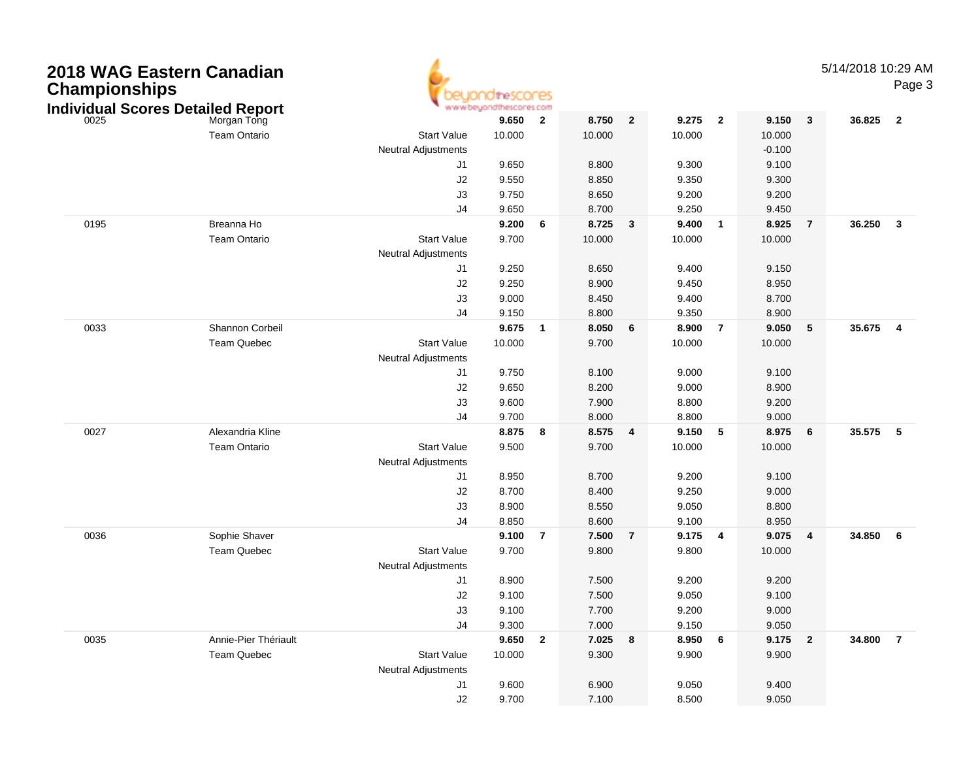| <b>Championships</b> | 2018 WAG Eastern Canadian<br><b>Individual Scores Detailed Report</b> |                                  |         |                |        |                |         |                |           |                | 5/14/2018 10:29 AM | Page 3                  |
|----------------------|-----------------------------------------------------------------------|----------------------------------|---------|----------------|--------|----------------|---------|----------------|-----------|----------------|--------------------|-------------------------|
| 0025                 | Morgan Tong                                                           |                                  | 9.650   | $\overline{2}$ | 8.750  | $\overline{2}$ | 9.275   | $\overline{2}$ | 9.150     | 3              | 36.825             | $\overline{\mathbf{2}}$ |
|                      | <b>Team Ontario</b>                                                   | <b>Start Value</b>               | 10.000  |                | 10.000 |                | 10.000  |                | 10.000    |                |                    |                         |
|                      |                                                                       | <b>Neutral Adjustments</b>       |         |                |        |                |         |                | $-0.100$  |                |                    |                         |
|                      |                                                                       | J1                               | 9.650   |                | 8.800  |                | 9.300   |                | 9.100     |                |                    |                         |
|                      |                                                                       | J2                               | 9.550   |                | 8.850  |                | 9.350   |                | 9.300     |                |                    |                         |
|                      |                                                                       | J3                               | 9.750   |                | 8.650  |                | 9.200   |                | 9.200     |                |                    |                         |
|                      |                                                                       | J <sub>4</sub>                   | 9.650   |                | 8.700  |                | 9.250   |                | 9.450     |                |                    |                         |
| 0195                 | Breanna Ho                                                            |                                  | 9.200   | 6              | 8.725  | $\mathbf{3}$   | 9.400   | $\mathbf{1}$   | 8.925     | $\overline{7}$ | 36.250             | $\mathbf{3}$            |
|                      | <b>Team Ontario</b>                                                   | <b>Start Value</b>               | 9.700   |                | 10.000 |                | 10.000  |                | 10.000    |                |                    |                         |
|                      |                                                                       | <b>Neutral Adjustments</b>       |         |                |        |                |         |                |           |                |                    |                         |
|                      |                                                                       | J <sub>1</sub>                   | 9.250   |                | 8.650  |                | 9.400   |                | 9.150     |                |                    |                         |
|                      |                                                                       | J2                               | 9.250   |                | 8.900  |                | 9.450   |                | 8.950     |                |                    |                         |
|                      |                                                                       | J3                               | 9.000   |                | 8.450  |                | 9.400   |                | 8.700     |                |                    |                         |
|                      |                                                                       | J <sub>4</sub>                   | 9.150   |                | 8.800  |                | 9.350   |                | 8.900     |                |                    |                         |
| 0033                 | Shannon Corbeil                                                       |                                  | 9.675   | $\blacksquare$ | 8.050  | 6              | 8.900   | $\overline{7}$ | 9.050     | 5              | 35.675             | 4                       |
|                      | Team Quebec                                                           | <b>Start Value</b>               | 10.000  |                | 9.700  |                | 10.000  |                | 10.000    |                |                    |                         |
|                      |                                                                       | <b>Neutral Adjustments</b>       |         |                |        |                |         |                |           |                |                    |                         |
|                      |                                                                       | J1                               | 9.750   |                | 8.100  |                | 9.000   |                | 9.100     |                |                    |                         |
|                      |                                                                       | J2                               | 9.650   |                | 8.200  |                | 9.000   |                | 8.900     |                |                    |                         |
|                      |                                                                       | J3                               | 9.600   |                | 7.900  |                | 8.800   |                | 9.200     |                |                    |                         |
|                      |                                                                       | J <sub>4</sub>                   | 9.700   |                | 8.000  |                | 8.800   |                | 9.000     |                |                    |                         |
| 0027                 | Alexandria Kline<br><b>Team Ontario</b>                               | <b>Start Value</b>               | 8.875   | 8              | 8.575  | 4              | 9.150   | 5              | 8.975     | 6              | 35.575             | $-5$                    |
|                      |                                                                       |                                  | 9.500   |                | 9.700  |                | 10.000  |                | 10.000    |                |                    |                         |
|                      |                                                                       | <b>Neutral Adjustments</b><br>J1 | 8.950   |                | 8.700  |                | 9.200   |                | 9.100     |                |                    |                         |
|                      |                                                                       | J2                               | 8.700   |                | 8.400  |                | 9.250   |                | 9.000     |                |                    |                         |
|                      |                                                                       | J3                               | 8.900   |                | 8.550  |                | 9.050   |                | 8.800     |                |                    |                         |
|                      |                                                                       | J <sub>4</sub>                   | 8.850   |                | 8.600  |                | 9.100   |                | 8.950     |                |                    |                         |
| 0036                 | Sophie Shaver                                                         |                                  | 9.100   | $\overline{7}$ | 7.500  | $\overline{7}$ | 9.175   | 4              | 9.075     | 4              | 34.850             | 6                       |
|                      | Team Quebec                                                           | <b>Start Value</b>               | 9.700   |                | 9.800  |                | 9.800   |                | 10.000    |                |                    |                         |
|                      |                                                                       | <b>Neutral Adjustments</b>       |         |                |        |                |         |                |           |                |                    |                         |
|                      |                                                                       | J <sub>1</sub>                   | 8.900   |                | 7.500  |                | 9.200   |                | 9.200     |                |                    |                         |
|                      |                                                                       | J2                               | 9.100   |                | 7.500  |                | 9.050   |                | 9.100     |                |                    |                         |
|                      |                                                                       | J3                               | 9.100   |                | 7.700  |                | 9.200   |                | 9.000     |                |                    |                         |
|                      |                                                                       | J4                               | 9.300   |                | 7.000  |                | 9.150   |                | 9.050     |                |                    |                         |
| 0035                 | Annie-Pier Thériault                                                  |                                  | 9.650 2 |                | 7.025  | 8              | 8.950 6 |                | $9.175$ 2 |                | 34.800 7           |                         |
|                      | Team Quebec                                                           | <b>Start Value</b>               | 10.000  |                | 9.300  |                | 9.900   |                | 9.900     |                |                    |                         |
|                      |                                                                       | <b>Neutral Adjustments</b>       |         |                |        |                |         |                |           |                |                    |                         |
|                      |                                                                       | J1                               | 9.600   |                | 6.900  |                | 9.050   |                | 9.400     |                |                    |                         |
|                      |                                                                       | J2                               | 9.700   |                | 7.100  |                | 8.500   |                | 9.050     |                |                    |                         |